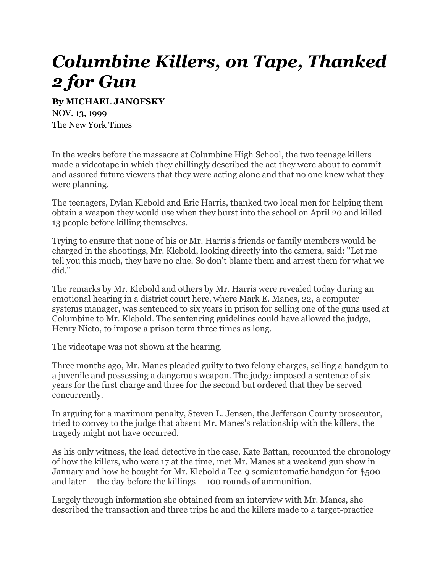## *Columbine Killers, on Tape, Thanked 2 for Gun*

## **By [MICHAEL JANOFSKY](https://www.nytimes.com/by/michael-janofsky)**

NOV. 13, 1999 The New York Times

In the weeks before the massacre at Columbine High School, the two teenage killers made a videotape in which they chillingly described the act they were about to commit and assured future viewers that they were acting alone and that no one knew what they were planning.

The teenagers, Dylan Klebold and Eric Harris, thanked two local men for helping them obtain a weapon they would use when they burst into the school on April 20 and killed 13 people before killing themselves.

Trying to ensure that none of his or Mr. Harris's friends or family members would be charged in the shootings, Mr. Klebold, looking directly into the camera, said: ''Let me tell you this much, they have no clue. So don't blame them and arrest them for what we did.''

The remarks by Mr. Klebold and others by Mr. Harris were revealed today during an emotional hearing in a district court here, where Mark E. Manes, 22, a computer systems manager, was sentenced to six years in prison for selling one of the guns used at Columbine to Mr. Klebold. The sentencing guidelines could have allowed the judge, Henry Nieto, to impose a prison term three times as long.

The videotape was not shown at the hearing.

Three months ago, Mr. Manes pleaded guilty to two felony charges, selling a handgun to a juvenile and possessing a dangerous weapon. The judge imposed a sentence of six years for the first charge and three for the second but ordered that they be served concurrently.

In arguing for a maximum penalty, Steven L. Jensen, the Jefferson County prosecutor, tried to convey to the judge that absent Mr. Manes's relationship with the killers, the tragedy might not have occurred.

As his only witness, the lead detective in the case, Kate Battan, recounted the chronology of how the killers, who were 17 at the time, met Mr. Manes at a weekend gun show in January and how he bought for Mr. Klebold a Tec-9 semiautomatic handgun for \$500 and later -- the day before the killings -- 100 rounds of ammunition.

Largely through information she obtained from an interview with Mr. Manes, she described the transaction and three trips he and the killers made to a target-practice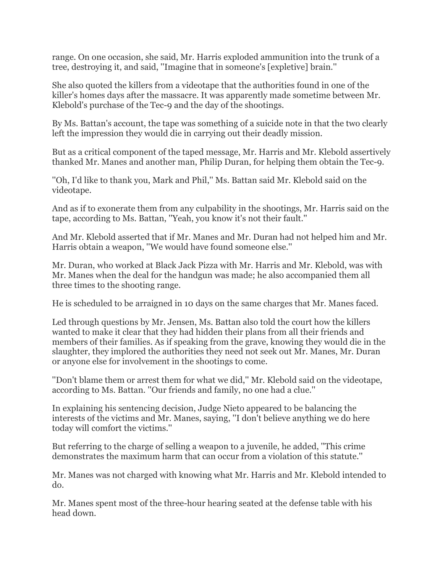range. On one occasion, she said, Mr. Harris exploded ammunition into the trunk of a tree, destroying it, and said, ''Imagine that in someone's [expletive] brain.''

She also quoted the killers from a videotape that the authorities found in one of the killer's homes days after the massacre. It was apparently made sometime between Mr. Klebold's purchase of the Tec-9 and the day of the shootings.

By Ms. Battan's account, the tape was something of a suicide note in that the two clearly left the impression they would die in carrying out their deadly mission.

But as a critical component of the taped message, Mr. Harris and Mr. Klebold assertively thanked Mr. Manes and another man, Philip Duran, for helping them obtain the Tec-9.

''Oh, I'd like to thank you, Mark and Phil,'' Ms. Battan said Mr. Klebold said on the videotape.

And as if to exonerate them from any culpability in the shootings, Mr. Harris said on the tape, according to Ms. Battan, ''Yeah, you know it's not their fault.''

And Mr. Klebold asserted that if Mr. Manes and Mr. Duran had not helped him and Mr. Harris obtain a weapon, ''We would have found someone else.''

Mr. Duran, who worked at Black Jack Pizza with Mr. Harris and Mr. Klebold, was with Mr. Manes when the deal for the handgun was made; he also accompanied them all three times to the shooting range.

He is scheduled to be arraigned in 10 days on the same charges that Mr. Manes faced.

Led through questions by Mr. Jensen, Ms. Battan also told the court how the killers wanted to make it clear that they had hidden their plans from all their friends and members of their families. As if speaking from the grave, knowing they would die in the slaughter, they implored the authorities they need not seek out Mr. Manes, Mr. Duran or anyone else for involvement in the shootings to come.

''Don't blame them or arrest them for what we did,'' Mr. Klebold said on the videotape, according to Ms. Battan. ''Our friends and family, no one had a clue.''

In explaining his sentencing decision, Judge Nieto appeared to be balancing the interests of the victims and Mr. Manes, saying, ''I don't believe anything we do here today will comfort the victims.''

But referring to the charge of selling a weapon to a juvenile, he added, ''This crime demonstrates the maximum harm that can occur from a violation of this statute.''

Mr. Manes was not charged with knowing what Mr. Harris and Mr. Klebold intended to do.

Mr. Manes spent most of the three-hour hearing seated at the defense table with his head down.